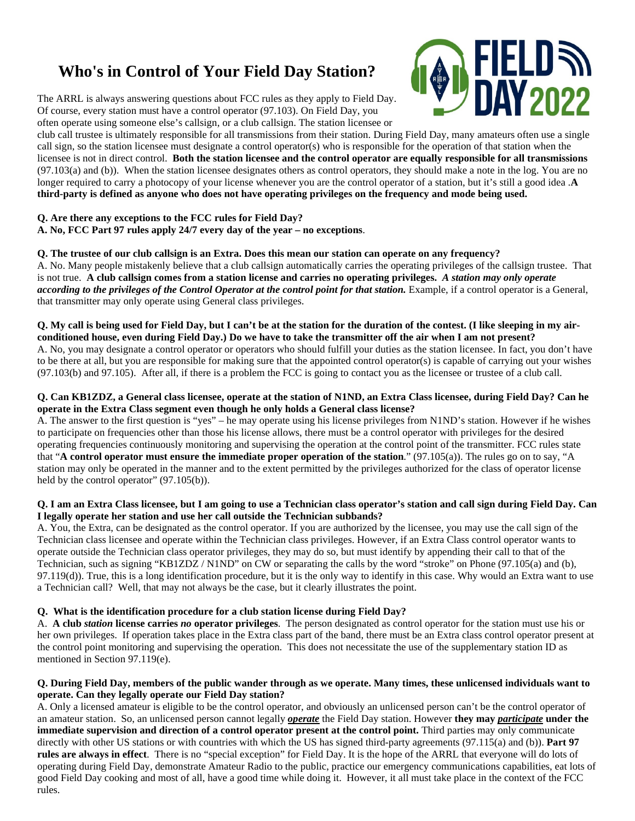# **Who's in Control of Your Field Day Station?**

The ARRL is always answering questions about FCC rules as they apply to Field Day. Of course, every station must have a control operator (97.103). On Field Day, you often operate using someone else's callsign, or a club callsign. The station licensee or

club call trustee is ultimately responsible for all transmissions from their station. During Field Day, many amateurs often use a single call sign, so the station licensee must designate a control operator(s) who is responsible for the operation of that station when the licensee is not in direct control. **Both the station licensee and the control operator are equally responsible for all transmissions**  $(97.103(a)$  and (b)). When the station licensee designates others as control operators, they should make a note in the log. You are no longer required to carry a photocopy of your license whenever you are the control operator of a station, but it's still a good idea .**A** 

**third-party is defined as anyone who does not have operating privileges on the frequency and mode being used.**

## **Q. Are there any exceptions to the FCC rules for Field Day?**

**A. No, FCC Part 97 rules apply 24/7 every day of the year – no exceptions**.

## **Q. The trustee of our club callsign is an Extra. Does this mean our station can operate on any frequency?**

A. No. Many people mistakenly believe that a club callsign automatically carries the operating privileges of the callsign trustee. That is not true. **A club callsign comes from a station license and carries no operating privileges.** *A station may only operate according to the privileges of the Control Operator at the control point for that station.* Example, if a control operator is a General, that transmitter may only operate using General class privileges.

#### **Q. My call is being used for Field Day, but I can't be at the station for the duration of the contest. (I like sleeping in my airconditioned house, even during Field Day.) Do we have to take the transmitter off the air when I am not present?**

A. No, you may designate a control operator or operators who should fulfill your duties as the station licensee. In fact, you don't have to be there at all, but you are responsible for making sure that the appointed control operator(s) is capable of carrying out your wishes (97.103(b) and 97.105). After all, if there is a problem the FCC is going to contact you as the licensee or trustee of a club call.

#### **Q. Can KB1ZDZ, a General class licensee, operate at the station of N1ND, an Extra Class licensee, during Field Day? Can he operate in the Extra Class segment even though he only holds a General class license?**

A. The answer to the first question is "yes" – he may operate using his license privileges from N1ND's station. However if he wishes to participate on frequencies other than those his license allows, there must be a control operator with privileges for the desired operating frequencies continuously monitoring and supervising the operation at the control point of the transmitter. FCC rules state that "**A control operator must ensure the immediate proper operation of the station**." (97.105(a)). The rules go on to say, "A station may only be operated in the manner and to the extent permitted by the privileges authorized for the class of operator license held by the control operator" (97.105(b)).

#### **Q. I am an Extra Class licensee, but I am going to use a Technician class operator's station and call sign during Field Day. Can I legally operate her station and use her call outside the Technician subbands?**

A. You, the Extra, can be designated as the control operator. If you are authorized by the licensee, you may use the call sign of the Technician class licensee and operate within the Technician class privileges. However, if an Extra Class control operator wants to operate outside the Technician class operator privileges, they may do so, but must identify by appending their call to that of the Technician, such as signing "KB1ZDZ / N1ND" on CW or separating the calls by the word "stroke" on Phone (97.105(a) and (b), 97.119(d)). True, this is a long identification procedure, but it is the only way to identify in this case. Why would an Extra want to use a Technician call? Well, that may not always be the case, but it clearly illustrates the point.

### **Q. What is the identification procedure for a club station license during Field Day?**

A. **A club** *station* **license carries** *no* **operator privileges**. The person designated as control operator for the station must use his or her own privileges. If operation takes place in the Extra class part of the band, there must be an Extra class control operator present at the control point monitoring and supervising the operation. This does not necessitate the use of the supplementary station ID as mentioned in Section 97.119(e).

#### **Q. During Field Day, members of the public wander through as we operate. Many times, these unlicensed individuals want to operate. Can they legally operate our Field Day station?**

A. Only a licensed amateur is eligible to be the control operator, and obviously an unlicensed person can't be the control operator of an amateur station. So, an unlicensed person cannot legally *operate* the Field Day station. However **they may** *participate* **under the immediate supervision and direction of a control operator present at the control point.** Third parties may only communicate directly with other US stations or with countries with which the US has signed third-party agreements (97.115(a) and (b)). **Part 97 rules are always in effect**. There is no "special exception" for Field Day. It is the hope of the ARRL that everyone will do lots of operating during Field Day, demonstrate Amateur Radio to the public, practice our emergency communications capabilities, eat lots of good Field Day cooking and most of all, have a good time while doing it. However, it all must take place in the context of the FCC rules.